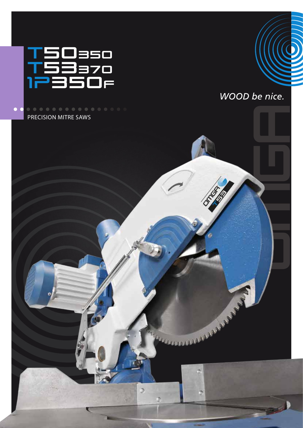

...............

PRECISION MITRE SAWS

 $\bullet$   $\bullet$ 



ARRAYANANA ST

o

x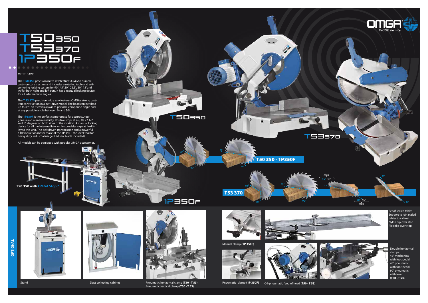

## MITRE SAWS



ong<sub>R</sub>

Stand **Dust collecting cabinet** 



1P350f

T50 350 - 1P350F

T53 370

45°

**SA** 

90°

90°

90°

90°

T50350



 $\overline{\bullet}$ 

 $GMSH$ 

Pneumatic horizontal clamp (**T50 - T 53**) Pneumatic clamp (**1P 350F)** Oil-pneumatic feed of head (T50 - T 53) Pneumatic vertical clamp (**T50 - T 53**)





Set of scaled tables Support to join scaled tables to cabinet Nylon flip-over stop Plexi flip-over stop

Double horizontal clamps: 45° mechanical with foot-pedal 45° pneumatic with foot-pedal 90° pneumatic with lever (**T50 - T 53**)

The **T 50 350** precision mitre saw features OMGA's durable cast-iron construction and includes a rotating table and selfcentering locking system for 90°, 45°,30°, 22.5°, 30°, 15°and 10°for both right and left cuts. It has a manual locking device for all intermediate angles.

The **T 53 370** precision mitre saw features OMGA's strong castiron construction in a belt-drive model. The head can be tilted up to 45° on its vertical axis to perform compound angle cuts at any possible angle between 0º and 30º.

The **1P350F** is the perfect compromise for accuracy, toughness and maneuverability. Positive stops at 45, 30, 22 1/2 and 15 degrees on both sides of the rotation. A manual locking device for all the intermediate angles provides a great flexibility to this unit. The belt driven transmission and a powerful 4 HP induction motor make of the 1P 350 F the ideal tool for heavy duty industrial usage (HM saw blade included).

All models can be equipped with popular OMGA accessories.

Manual clamp **(1P 350F)**